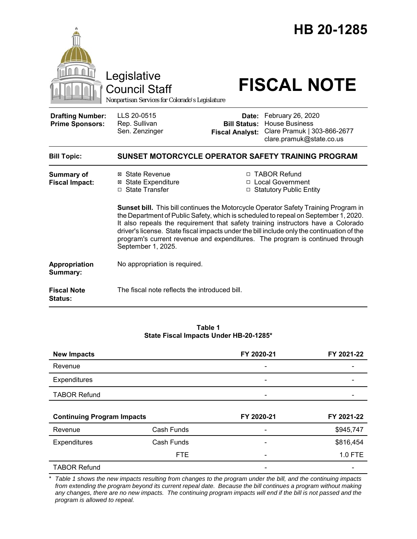|                                                   |                                                                                                                                                                                                                                                                                                                                                                                                                                                                    |                                               | HB 20-1285                                                                                                  |  |
|---------------------------------------------------|--------------------------------------------------------------------------------------------------------------------------------------------------------------------------------------------------------------------------------------------------------------------------------------------------------------------------------------------------------------------------------------------------------------------------------------------------------------------|-----------------------------------------------|-------------------------------------------------------------------------------------------------------------|--|
|                                                   | Legislative<br>Council Staff<br>Nonpartisan Services for Colorado's Legislature                                                                                                                                                                                                                                                                                                                                                                                    |                                               | <b>FISCAL NOTE</b>                                                                                          |  |
| <b>Drafting Number:</b><br><b>Prime Sponsors:</b> | LLS 20-0515<br>Rep. Sullivan<br>Sen. Zenzinger                                                                                                                                                                                                                                                                                                                                                                                                                     | <b>Bill Status:</b><br><b>Fiscal Analyst:</b> | Date: February 26, 2020<br><b>House Business</b><br>Clare Pramuk   303-866-2677<br>clare.pramuk@state.co.us |  |
| <b>Bill Topic:</b>                                |                                                                                                                                                                                                                                                                                                                                                                                                                                                                    |                                               | SUNSET MOTORCYCLE OPERATOR SAFETY TRAINING PROGRAM                                                          |  |
| <b>Summary of</b><br><b>Fiscal Impact:</b>        | ⊠ State Revenue<br><b>⊠</b> State Expenditure<br>□ State Transfer                                                                                                                                                                                                                                                                                                                                                                                                  |                                               | □ TABOR Refund<br>□ Local Government<br>□ Statutory Public Entity                                           |  |
|                                                   | Sunset bill. This bill continues the Motorcycle Operator Safety Training Program in<br>the Department of Public Safety, which is scheduled to repeal on September 1, 2020.<br>It also repeals the requirement that safety training instructors have a Colorado<br>driver's license. State fiscal impacts under the bill include only the continuation of the<br>program's current revenue and expenditures. The program is continued through<br>September 1, 2025. |                                               |                                                                                                             |  |
| Appropriation<br>Summary:                         | No appropriation is required.                                                                                                                                                                                                                                                                                                                                                                                                                                      |                                               |                                                                                                             |  |
| <b>Fiscal Note</b><br>Status:                     | The fiscal note reflects the introduced bill.                                                                                                                                                                                                                                                                                                                                                                                                                      |                                               |                                                                                                             |  |

### **Table 1 State Fiscal Impacts Under HB-20-1285\***

| <b>New Impacts</b>                |            | FY 2020-21               | FY 2021-22 |
|-----------------------------------|------------|--------------------------|------------|
| Revenue                           |            | $\overline{\phantom{a}}$ |            |
| Expenditures                      |            |                          |            |
| <b>TABOR Refund</b>               |            |                          |            |
|                                   |            |                          |            |
|                                   |            |                          |            |
| <b>Continuing Program Impacts</b> |            | FY 2020-21               | FY 2021-22 |
| Revenue                           | Cash Funds |                          | \$945,747  |
| Expenditures                      | Cash Funds |                          | \$816,454  |
|                                   | <b>FTE</b> |                          | 1.0 FTE    |

\* *Table 1 shows the new impacts resulting from changes to the program under the bill, and the continuing impacts from extending the program beyond its current repeal date. Because the bill continues a program without making any changes, there are no new impacts. The continuing program impacts will end if the bill is not passed and the program is allowed to repeal.*